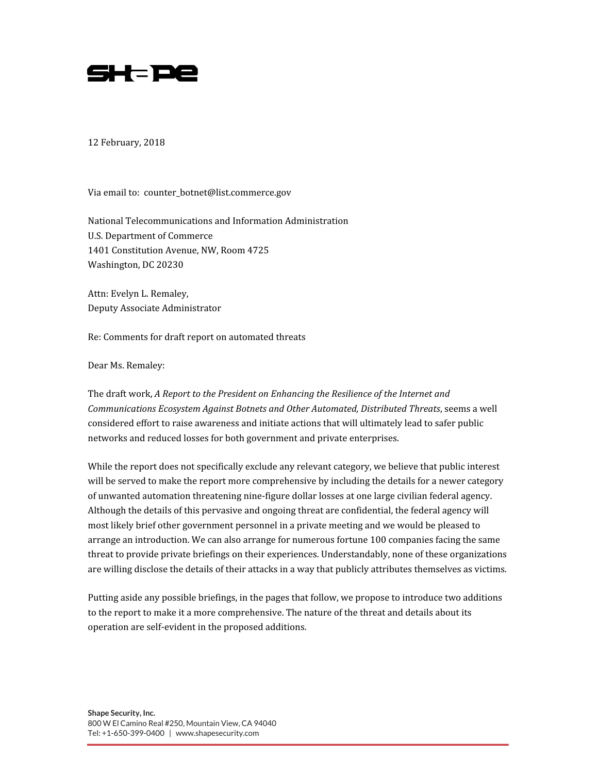

12 February, 2018

Via email to: counter\_botnet@list.commerce.gov

National Telecommunications and Information Administration U.S. Department of Commerce 1401 Constitution Avenue, NW, Room 4725 Washington, DC 20230

Attn: Evelyn L. Remaley, Deputy Associate Administrator

Re: Comments for draft report on automated threats

Dear Ms. Remaley:

The draft work, A Report to the President on Enhancing the Resilience of the Internet and Communications Ecosystem Against Botnets and Other Automated, Distributed Threats, seems a well considered effort to raise awareness and initiate actions that will ultimately lead to safer public networks and reduced losses for both government and private enterprises.

While the report does not specifically exclude any relevant category, we believe that public interest will be served to make the report more comprehensive by including the details for a newer category of unwanted automation threatening nine-figure dollar losses at one large civilian federal agency. Although the details of this pervasive and ongoing threat are confidential, the federal agency will most likely brief other government personnel in a private meeting and we would be pleased to arrange an introduction. We can also arrange for numerous fortune 100 companies facing the same threat to provide private briefings on their experiences. Understandably, none of these organizations are willing disclose the details of their attacks in a way that publicly attributes themselves as victims.

Putting aside any possible briefings, in the pages that follow, we propose to introduce two additions to the report to make it a more comprehensive. The nature of the threat and details about its operation are self-evident in the proposed additions.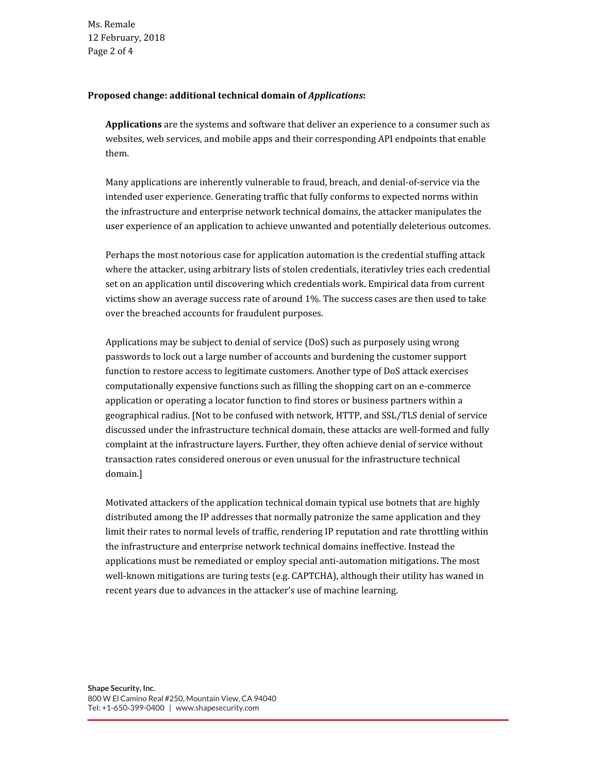Ms. Remale 12 February, 2018 Page 2 of 4

## Proposed change: additional technical domain of Applications:

Applications are the systems and software that deliver an experience to a consumer such as websites, web services, and mobile apps and their corresponding API endpoints that enable them.

Many applications are inherently vulnerable to fraud, breach, and denial-of-service via the intended user experience. Generating traffic that fully conforms to expected norms within the infrastructure and enterprise network technical domains, the attacker manipulates the user experience of an application to achieve unwanted and potentially deleterious outcomes.

Perhaps the most notorious case for application automation is the credential stuffing attack where the attacker, using arbitrary lists of stolen credentials, iterativley tries each credential set on an application until discovering which credentials work. Empirical data from current victims show an average success rate of around 1%. The success cases are then used to take over the breached accounts for fraudulent purposes.

Applications may be subject to denial of service (DoS) such as purposely using wrong passwords to lock out a large number of accounts and burdening the customer support function to restore access to legitimate customers. Another type of DoS attack exercises computationally expensive functions such as filling the shopping cart on an e-commerce application or operating a locator function to find stores or business partners within a geographical radius. [Not to be confused with network, HTTP, and SSL/TLS denial of service discussed under the infrastructure technical domain, these attacks are well-formed and fully complaint at the infrastructure layers. Further, they often achieve denial of service without transaction rates considered onerous or even unusual for the infrastructure technical domain.]

Motivated attackers of the application technical domain typical use botnets that are highly distributed among the IP addresses that normally patronize the same application and they limit their rates to normal levels of traffic, rendering IP reputation and rate throttling within the infrastructure and enterprise network technical domains ineffective. Instead the applications must be remediated or employ special anti-automation mitigations. The most well-known mitigations are turing tests (e.g. CAPTCHA), although their utility has waned in recent years due to advances in the attacker's use of machine learning.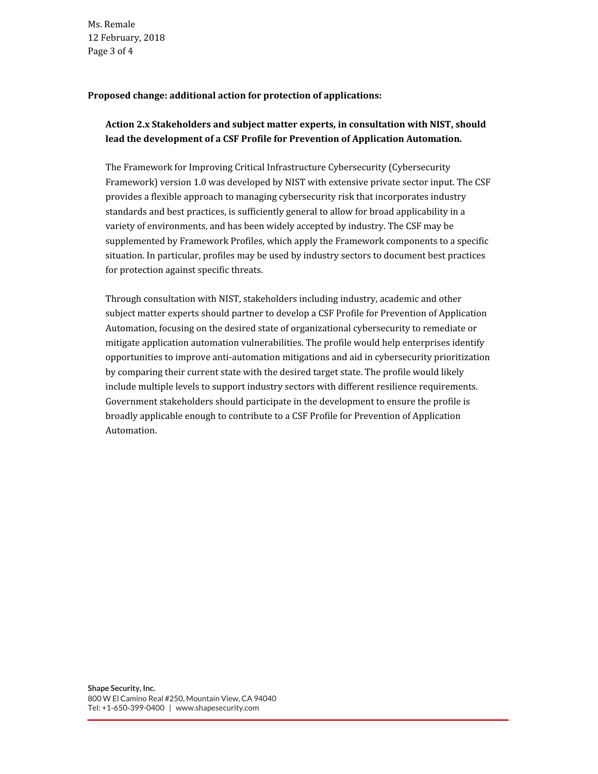Ms. Remale 12 February, 2018 Page 3 of 4

## Proposed change: additional action for protection of applications:

## Action 2.x Stakeholders and subject matter experts, in consultation with NIST, should lead the development of a CSF Profile for Prevention of Application Automation.

The Framework for Improving Critical Infrastructure Cybersecurity (Cybersecurity Framework) version 1.0 was developed by NIST with extensive private sector input. The CSF provides a flexible approach to managing cybersecurity risk that incorporates industry standards and best practices, is sufficiently general to allow for broad applicability in a variety of environments, and has been widely accepted by industry. The CSF may be supplemented by Framework Profiles, which apply the Framework components to a specific situation. In particular, profiles may be used by industry sectors to document best practices for protection against specific threats.

Through consultation with NIST, stakeholders including industry, academic and other subject matter experts should partner to develop a CSF Profile for Prevention of Application Automation, focusing on the desired state of organizational cybersecurity to remediate or mitigate application automation vulnerabilities. The profile would help enterprises identify opportunities to improve anti-automation mitigations and aid in cybersecurity prioritization by comparing their current state with the desired target state. The profile would likely include multiple levels to support industry sectors with different resilience requirements. Government stakeholders should participate in the development to ensure the profile is broadly applicable enough to contribute to a CSF Profile for Prevention of Application Automation.